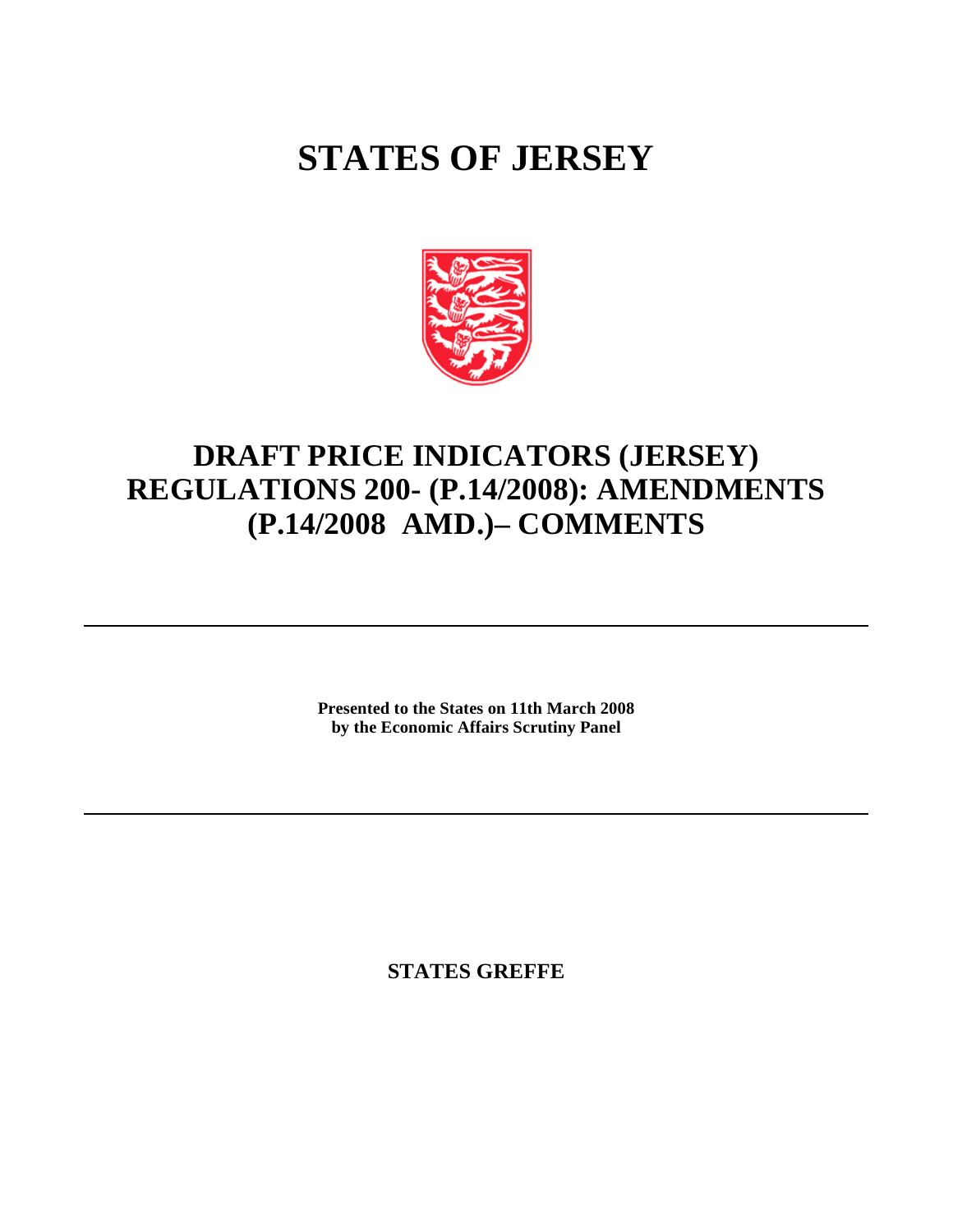## **STATES OF JERSEY**



## **DRAFT PRICE INDICATORS (JERSEY) REGULATIONS 200- (P.14/2008): AMENDMENTS (P.14/2008 AMD.) – COMMENTS**

**Presented to the States on 11th March 2008 by the Economic Affairs Scrutiny Panel**

**STATES GREFFE**